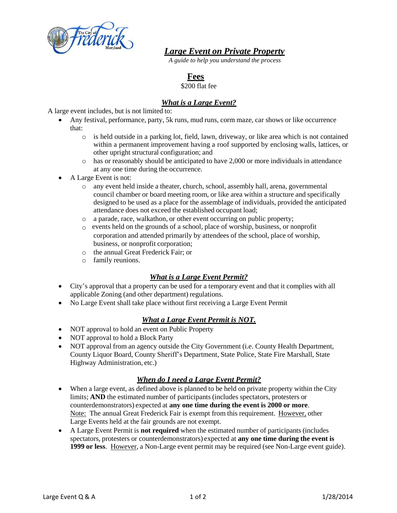

*Large Event on Private Property*

*A guide to help you understand the process*

## **Fees**

\$200 flat fee

## *What is a Large Event?*

A large event includes, but is not limited to:

- Any festival, performance, party, 5k runs, mud runs, corm maze, car shows or like occurrence that:
	- $\circ$  is held outside in a parking lot, field, lawn, driveway, or like area which is not contained within a permanent improvement having a roof supported by enclosing walls, lattices, or other upright structural configuration; and
	- $\circ$  has or reasonably should be anticipated to have 2,000 or more individuals in attendance at any one time during the occurrence.
- A Large Event is not:
	- o any event held inside a theater, church, school, assembly hall, arena, governmental council chamber or board meeting room, or like area within a structure and specifically designed to be used as a place for the assemblage of individuals, provided the anticipated attendance does not exceed the established occupant load;
	- o a parade, race, walkathon, or other event occurring on public property;
	- o events held on the grounds of a school, place of worship, business, or nonprofit corporation and attended primarily by attendees of the school, place of worship, business, or nonprofit corporation;
	- o the annual Great Frederick Fair; or
	- o family reunions.

### *What is a Large Event Permit?*

- City's approval that a property can be used for a temporary event and that it complies with all applicable Zoning (and other department) regulations.
- No Large Event shall take place without first receiving a Large Event Permit

### *What a Large Event Permit is NOT.*

- NOT approval to hold an event on Public Property
- NOT approval to hold a Block Party
- NOT approval from an agency outside the City Government (i.e. County Health Department, County Liquor Board, County Sheriff's Department, State Police, State Fire Marshall, State Highway Administration, etc.)

### *When do I need a Large Event Permit?*

- When a large event, as defined above is planned to be held on private property within the City limits; **AND** the estimated number of participants (includes spectators, protesters or counterdemonstrators) expected at **any one time during the event is 2000 or more**. Note: The annual Great Frederick Fair is exempt from this requirement. However, other Large Events held at the fair grounds are not exempt.
- A Large Event Permit is **not required** when the estimated number of participants (includes spectators, protesters or counterdemonstrators) expected at **any one time during the event is 1999 or less**. However, a Non-Large event permit may be required (see Non-Large event guide).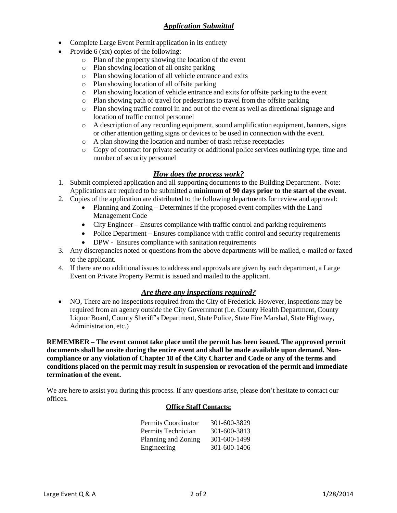- Complete Large Event Permit application in its entirety
- Provide 6 (six) copies of the following:
	- o Plan of the property showing the location of the event
	- o Plan showing location of all onsite parking
	- o Plan showing location of all vehicle entrance and exits
	- o Plan showing location of all offsite parking
	- o Plan showing location of vehicle entrance and exits for offsite parking to the event
	- o Plan showing path of travel for pedestrians to travel from the offsite parking
	- o Plan showing traffic control in and out of the event as well as directional signage and location of traffic control personnel
	- o A description of any recording equipment, sound amplification equipment, banners, signs or other attention getting signs or devices to be used in connection with the event.
	- o A plan showing the location and number of trash refuse receptacles
	- o Copy of contract for private security or additional police services outlining type, time and number of security personnel

### *How does the process work?*

- 1. Submit completed application and all supporting documents to the Building Department. Note: Applications are required to be submitted a **minimum of 90 days prior to the start of the event**.
- 2. Copies of the application are distributed to the following departments for review and approval:
	- Planning and Zoning Determines if the proposed event complies with the Land Management Code
	- City Engineer Ensures compliance with traffic control and parking requirements
	- Police Department Ensures compliance with traffic control and security requirements
	- DPW Ensures compliance with sanitation requirements
- 3. Any discrepancies noted or questions from the above departments will be mailed, e-mailed or faxed to the applicant.
- 4. If there are no additional issues to address and approvals are given by each department, a Large Event on Private Property Permit is issued and mailed to the applicant.

### *Are there any inspections required?*

• NO, There are no inspections required from the City of Frederick. However, inspections may be required from an agency outside the City Government (i.e. County Health Department, County Liquor Board, County Sheriff's Department, State Police, State Fire Marshal, State Highway, Administration, etc.)

**REMEMBER – The event cannot take place until the permit has been issued. The approved permit documents shall be onsite during the entire event and shall be made available upon demand. Non**compliance or any violation of Chapter 18 of the City Charter and Code or any of the terms and **conditions placed on the permit may result in suspension or revocation of the permit and immediate termination of the event.**

We are here to assist you during this process. If any questions arise, please don't hesitate to contact our offices.

#### **Office Staff Contacts:**

| Permits Coordinator | 301-600-3829 |
|---------------------|--------------|
| Permits Technician  | 301-600-3813 |
| Planning and Zoning | 301-600-1499 |
| Engineering         | 301-600-1406 |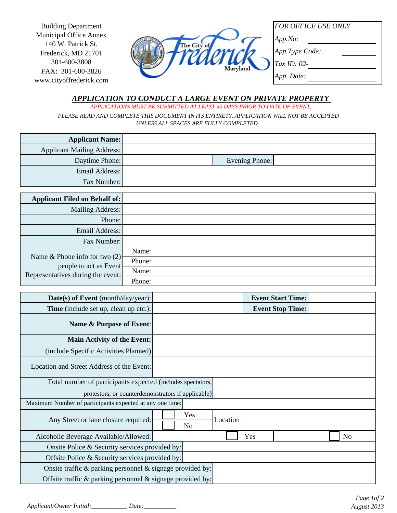Building Department Municipal Office Annex 140 W. Patrick St. Frederick, MD 21701 301-600-3808 FAX: 301-600-3826 www.cityoffrederick.com



*FOR OFFICE USE ONLY*

*App.No:*

*App.Type Code:*

*Tax ID: 02-*

*App. Date:*

# *APPLICATION TO CONDUCT A LARGE EVENT ON PRIVATE PROPERTY*

*APPLICATIONS MUST BE SUBMITTED AT LEAST 90 DAYS PRIOR TO DATE OF EVENT.*

 *PLEASE READ AND COMPLETE THIS DOCUMENT IN ITS ENTIRETY. APPLICATION WILL NOT BE ACCEPTED UNLESS ALL SPACES ARE FULLY COMPLETED.* 

| <b>Applicant Name:</b>            |                |  |
|-----------------------------------|----------------|--|
| <b>Applicant Mailing Address:</b> |                |  |
| Daytime Phone:                    | Evening Phone: |  |
| Email Address:                    |                |  |
| Fax Number:                       |                |  |

| <b>Applicant Filed on Behalf of:</b>                      |        |
|-----------------------------------------------------------|--------|
| Mailing Address:                                          |        |
| Phone:                                                    |        |
| Email Address:                                            |        |
| Fax Number:                                               |        |
|                                                           | Name:  |
| Name & Phone info for two $(2)$<br>people to act as Event | Phone: |
| Representatives during the event:                         | Name:  |
|                                                           | Phone: |

| Date(s) of Event (month/day/year):                              |                                   | <b>Event Start Time:</b> |                |
|-----------------------------------------------------------------|-----------------------------------|--------------------------|----------------|
| <b>Time</b> (include set up, clean up etc.):                    |                                   | <b>Event Stop Time:</b>  |                |
| Name & Purpose of Event:                                        |                                   |                          |                |
| Main Activity of the Event:                                     |                                   |                          |                |
| (include Specific Activities Planned)                           |                                   |                          |                |
| Location and Street Address of the Event:                       |                                   |                          |                |
| Total number of participants expected (includes spectators,     |                                   |                          |                |
| protestors, or counterdemonstrators if applicable)              |                                   |                          |                |
| Maximum Number of participants expected at any one time:        |                                   |                          |                |
| Any Street or lane closure required:                            | Yes<br>Location<br>N <sub>o</sub> |                          |                |
| Alcoholic Beverage Available/Allowed:                           |                                   | Yes                      | N <sub>o</sub> |
| Onsite Police & Security services provided by:                  |                                   |                          |                |
| Offsite Police & Security services provided by:                 |                                   |                          |                |
| Onsite traffic $\&$ parking personnel $\&$ signage provided by: |                                   |                          |                |
| Offsite traffic & parking personnel & signage provided by:      |                                   |                          |                |